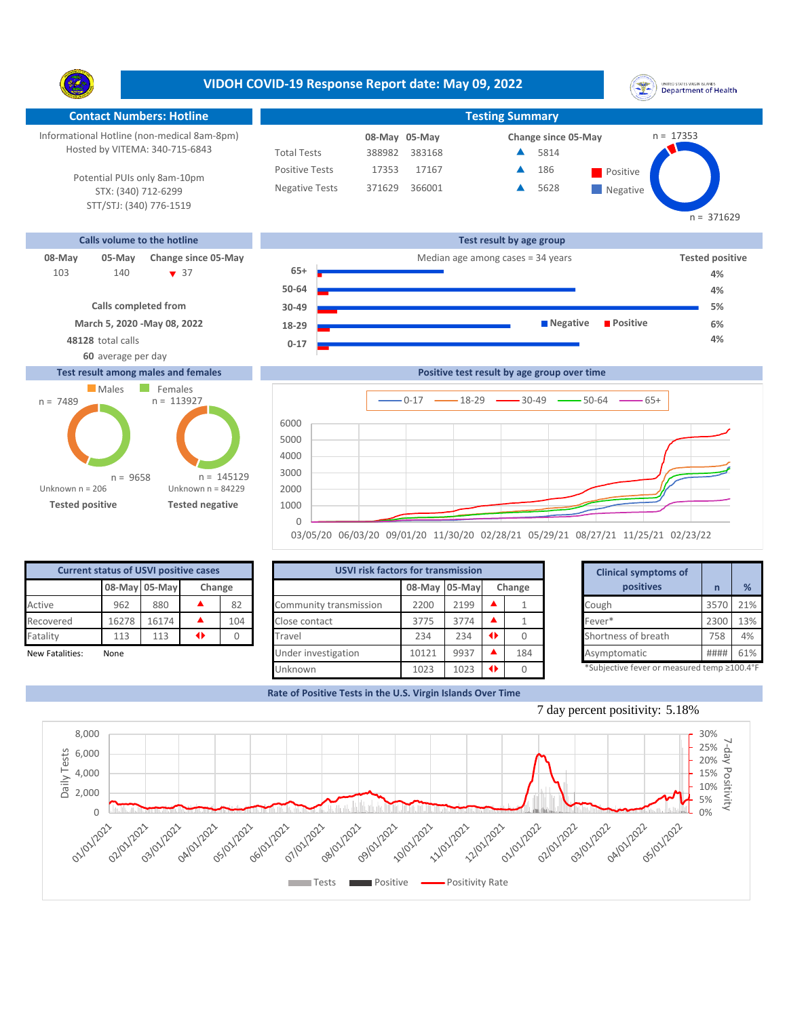**VIDOH COVID-19 Response Report date: May 09, 2022** UNITED STATES VIRGIN SLANDS<br>Department of Health Y. **Contact Numbers: Hotline Testing Summary** Informational Hotline (non-medical 8am-8pm) n = 17353 **08-May Change since 05-May 05-May** Hosted by VITEMA: 340-715-6843 Total Tests 388982 383168 5814 ▲ Positive Tests 17167 **A** 186 **Positive** Â 186 17353 Potential PUIs only 8am-10pm Negative Tests 371629 366001 5628 ▲ **Negative** STX: (340) 712-6299 STT/STJ: (340) 776-1519  $n = 371629$ **Calls volume to the hotline Test result by age group 08-May 05-May Change since 05-May Change since 05-May Change and Change among cases = 34 years <b>Tested positive Tested positive 65+** 140 **v** 37 103 140 ▼ 37 **65+ Product to the Contract of A**% 4% **50-64 4% Calls completed from 30-49 5% March 5, 2020 -May 08, 2022 Negative Positive 6% 18-29 48128** total calls **4% 0-17 60** average per day

## **Test result among males and females**





| <b>Current status of USVI positive cases</b> |       |                         |  |     |  |  |  |  |  |  |  |
|----------------------------------------------|-------|-------------------------|--|-----|--|--|--|--|--|--|--|
|                                              |       | 08-May 05-May<br>Change |  |     |  |  |  |  |  |  |  |
| Active                                       | 962   | 880                     |  | 82  |  |  |  |  |  |  |  |
| Recovered                                    | 16278 | 16174                   |  | 104 |  |  |  |  |  |  |  |
| Fatality                                     | 113   | 113                     |  |     |  |  |  |  |  |  |  |
| .                                            |       |                         |  |     |  |  |  |  |  |  |  |

| <b>Current status of USVI positive cases</b> |       |               |   |        | <b>USVI risk factors for transmission</b> |               |      |        |  | <b>Clinical symptoms of</b>                |      |     |
|----------------------------------------------|-------|---------------|---|--------|-------------------------------------------|---------------|------|--------|--|--------------------------------------------|------|-----|
|                                              |       | 08-May 05-May |   | Change |                                           | 08-May 05-May |      | Change |  | positives                                  |      | %   |
| Active                                       | 962   | 880           |   | 82     | Community transmission                    | 2200          | 2199 |        |  | Cough                                      | 3570 | 21% |
| Recovered                                    | 16278 | 16174         |   | 104    | Close contact                             | 3775          | 3774 |        |  | Fever*                                     | 2300 | 13% |
| Fatality                                     | 113   | 113           | ◆ |        | Travel                                    | 234           | 234  |        |  | Shortness of breath                        | 758  | 4%  |
| New Fatalities:                              | None  |               |   |        | Under investigation                       | 10121         | 9937 | 184    |  | Asymptomatic                               | #### | 61% |
|                                              |       |               |   |        | Unknown                                   | 1023          | 1023 |        |  | *Subjective fever or measured temp ≥100.4° |      |     |

|       | for transmission |   |        | <b>Clinical symptoms of</b>                 |      |     |
|-------|------------------|---|--------|---------------------------------------------|------|-----|
|       | 08-May 05-May    |   | Change | positives                                   | n    | %   |
| 2200  | 2199             |   |        | Cough                                       | 3570 | 21% |
| 3775  | 3774             |   |        | Fever*                                      | 2300 | 13% |
| 234   | 234              | O | O      | Shortness of breath                         | 758  | 4%  |
| 10121 | 9937             |   | 184    | Asymptomatic                                | #### | 61% |
| 1023  | 1023             | O | U      | *Subjective fever or measured temp ≥100.4°F |      |     |

**Rate of Positive Tests in the U.S. Virgin Islands Over Time**